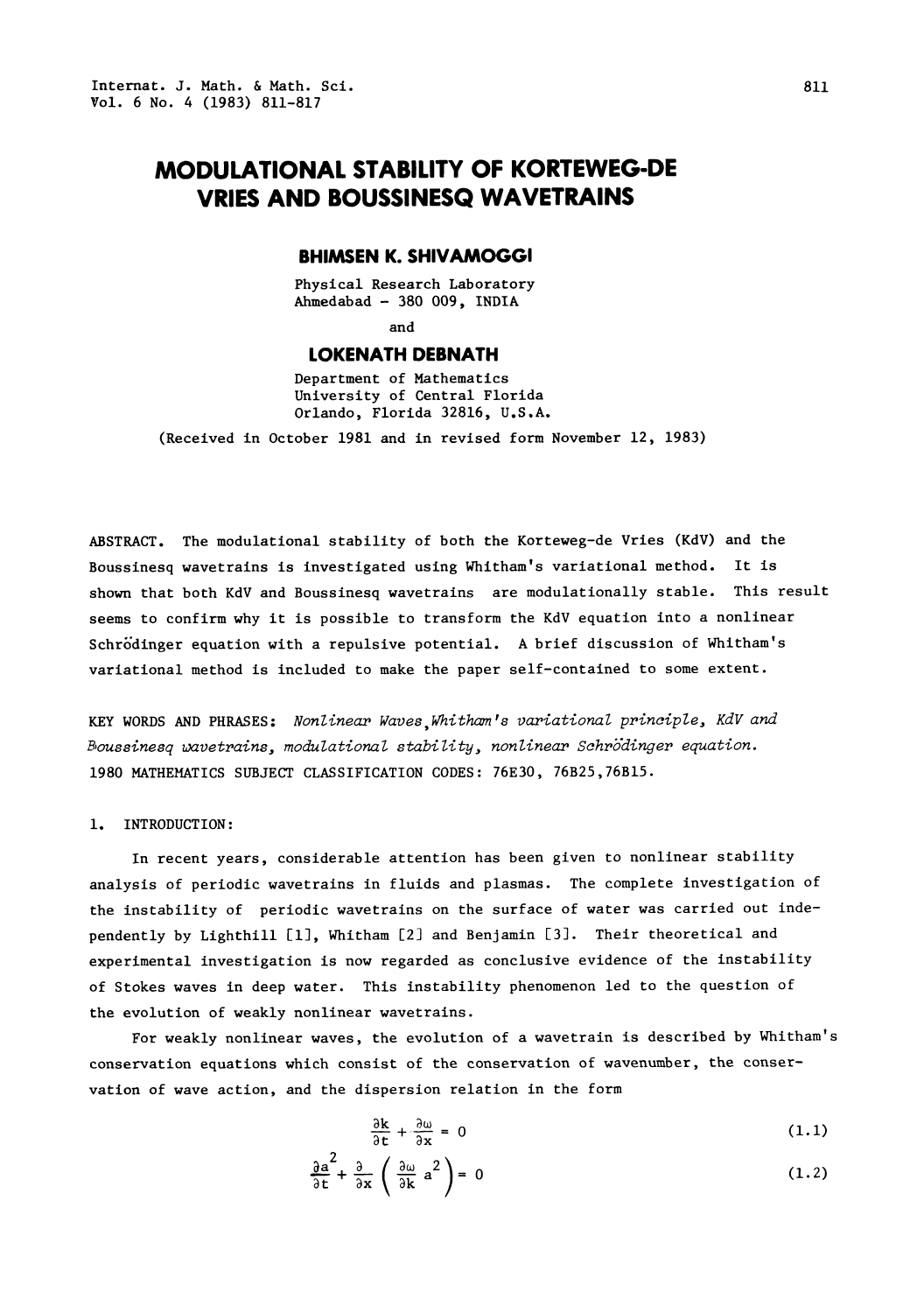# MODULATIONAL STABILITY OF KORTEWEG-DE VRIES AND BOUSSINESQ WAVETRAINS

#### BHIMSEN K. SHIVAMOGGI

Physical Research Laboratory Ahmedabad - 380 009, INDIA

and

## LOKENATH DEBNATH

Department of Mathematics University of Central Florida Orlando, Florida 32816, U.S.A.

(Received in October 1981 and in revised form November 12, 1983)

ABSTRACT. The modulational stability of both the Korteweg-de Vries (KdV) and the Boussinesq wavetralns is investigated using Whltham's variational method. It is shown that both KdV and Boussinesq wavetrains are modulationally stable. This result seems to confirm why it is possible to transform the KdV equation into a nonlinear Schr'dinger equation with a repulsive potential. A brief discussion of Whltham's variational method is included to make the paper self-contained to some extent.

KEY WORDS AND PHRASES: Nonlinear Waves,Whitham's variational principle, KdV and B,oussinesq wavetrains, modulational stability, nonlinear Schrdinger equation. 1980 MATHEMATICS SUBJECT CLASSIFICATION CODES 76E30, 76B25,76B15.

### i. INTRODUCTION:

In recent years, considerable attention has been given to nonlinear stability analysis of periodic wavetrains in fluids and plasmas. The complete investigation of the instability of periodic wavetrains on the surface of water was carried out independently by Lighthill [i], Whitham [2] and Benjamin [3]. Their theoretical and experimental investigation is now regarded as conclusive evidence of the instability of Stokes waves in deep water. This instability phenomenon led to the question of the evolution of weakly nonlinear wavetrains.

For weakly nonlinear waves, the evolution of a wavetrain is described by Whitham's conservation equations which consist of the conservation of wavenumber, the conservation of wave action, and the dispersion relation in the form

$$
\frac{\partial k}{\partial t} + \frac{\partial \omega}{\partial x} = 0 \tag{1.1}
$$

$$
\frac{\partial a^2}{\partial t} + \frac{\partial}{\partial x} \left( \frac{\partial \omega}{\partial k} a^2 \right) = 0
$$
 (1.1)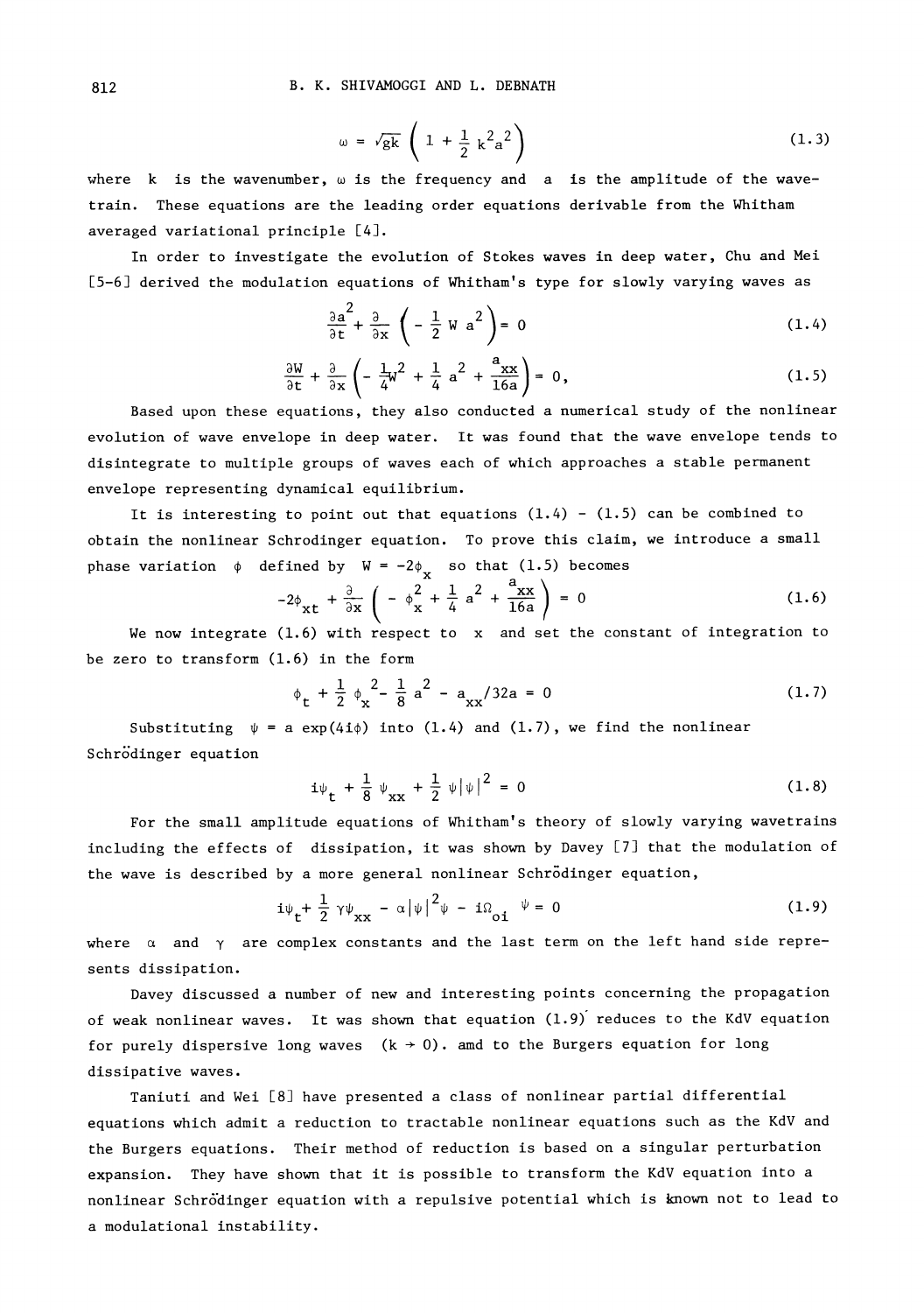$$
\omega = \sqrt{gk} \left( 1 + \frac{1}{2} k^2 a^2 \right) \tag{1.3}
$$

where k is the wavenumber,  $\omega$  is the frequency and a is the amplitude of the wavetrain. These equations are the leading order equations derivable from the Whitham averaged variational principle [4].

In order to investigate the evolution of Stokes waves in deep water, Chu and Mei [5-6] derived the modulation equations of Whitham's type for slowly varying waves as

$$
\frac{\partial a^2}{\partial t} + \frac{\partial}{\partial x} \left( -\frac{1}{2} W a^2 \right) = 0
$$
 (1.4)

$$
\frac{\partial W}{\partial t} + \frac{\partial}{\partial x} \left( -\frac{1}{4}W^2 + \frac{1}{4} a^2 + \frac{a_{xx}}{16a} \right) = 0, \qquad (1.5)
$$

Based upon these equations, they also conducted a numerical study of the nonlinear evolution of wave envelope in deep water. It was found that the wave envelope tends to disintegrate to multiple groups of waves each of which approaches a stable permanent envelope representing dynamical equilibrium.

It is interesting to point out that equations  $(1.4)$  -  $(1.5)$  can be combined to obtain the nonlinear Schrodinger equation. To prove this claim, we introduce a small

phase variation 
$$
\phi
$$
 defined by  $W = -2\phi_x$  so that (1.5) becomes  
\n
$$
-2\phi_{xt} + \frac{\partial}{\partial x} \left( -\phi_x^2 + \frac{1}{4} a^2 + \frac{a_{xx}}{16a} \right) = 0
$$
\n(1.6)

We now integrate (1.6) with respect to x and set the constant of integration to be zero to transform (1.6) in the form

$$
\phi_{\rm t} + \frac{1}{2} \phi_{\rm x}^2 - \frac{1}{8} a^2 - a_{\rm xx} / 32a = 0 \tag{1.7}
$$

Substituting  $\psi = a \exp(4i\phi)$  into (1.4) and (1.7), we find the nonlinear Schrödinger equation

$$
i\psi_{\mathbf{t}} + \frac{1}{8} \psi_{\mathbf{xx}} + \frac{1}{2} \psi |\psi|^2 = 0
$$
 (1.8)

For the small amplitude equations of Whitham's theory of slowly varying wavetrains including the effects of dissipation, it was shown by Davey [7] that the modulation of the wave is described by a more general nonlinear Schrödinger equation,

$$
i\psi_{t} + \frac{1}{2} \gamma \psi_{xx} - \alpha |\psi|^{2} \psi - i\Omega_{0i} \psi = 0
$$
 (1.9)

where  $\alpha$  and  $\gamma$  are complex constants and the last term on the left hand side represents dissipation.

Davey discussed a number of new and interesting points concerning the propagation of weak nonlinear waves. It was shown that equation  $(1.9)$  reduces to the KdV equation for purely dispersive long waves  $(k \rightarrow 0)$ . amd to the Burgers equation for long dissipative waves.

Taniuti and Wei [8] have presented a class of nonlinear partial differential equations which admit a reduction to tractable nonlinear equations such as the KdV and the Burgers equations. Their method of reduction is based on a singular perturbation expansion. They have shown that it is possible to transform the KdV equation into a nonlinear Schr6"dinger equation with a repulsive potential which is known not to lead to a modulational instability.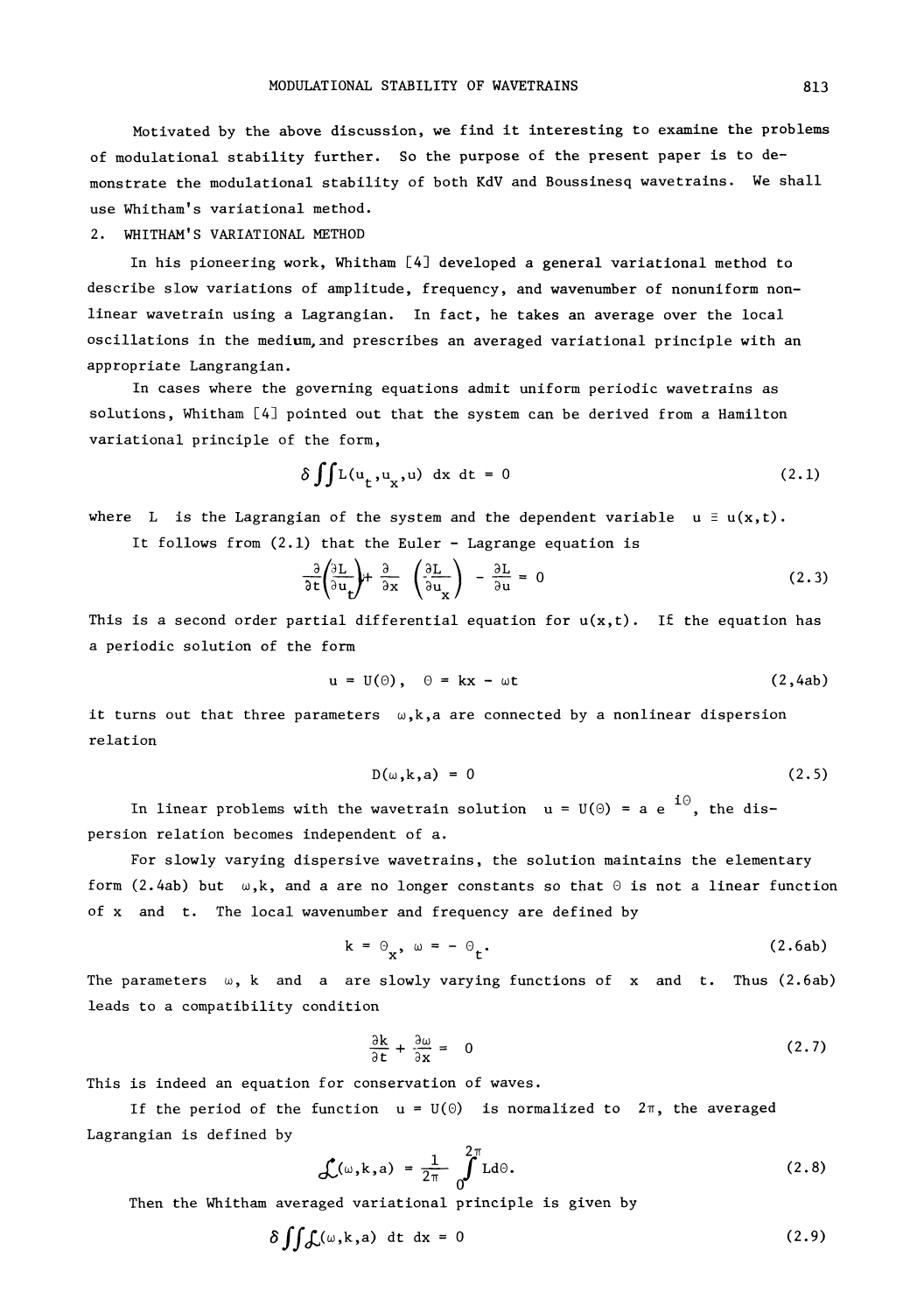Motivated by the above discussion, we find it interesting to examine the problems of modulational stability further. So the purpose of the present paper is to demonstrate the modulational stability of both KdV and Boussinesq wavetrains. We shall use Whitham's variational method.

#### 2. WHITHAM'S VARIATIONAL METHOD

In his pioneering work, Whitham [4] developed a general variational method to describe slow variations of amplitude, frequency, and wavenumber of nonuniform nonlinear wavetrain using a Lagrangian. In fact, he takes an average over the local oscillations in the medium, and prescribes an averaged variational principle with an appropriate Langrangian.

In cases where the governing equations admit uniform periodic wavetrains as solutions, Whitham [4] pointed out that the system can be derived from a Hamilton variational principle of the form,

$$
\delta \iint L(u_t, u_x, u) dx dt = 0
$$
 (2.1)

where L is the Lagrangian of the system and the dependent variable  $u \equiv u(x,t)$ .

It follows from  $(2.1)$  that the Euler - Lagrange equation is

$$
\frac{\partial \mathbf{t}}{\partial \mathbf{u}} \left( \frac{\partial \mathbf{u}}{\partial \mathbf{u}} \right) + \frac{\partial \mathbf{v}}{\partial \mathbf{x}} \quad \left( \frac{\partial \mathbf{u}}{\partial \mathbf{u}} \right) - \frac{\partial \mathbf{u}}{\partial \mathbf{u}} = 0 \tag{2.3}
$$

This is a second order partial differential equation for  $u(x,t)$ . If the equation has a periodic solution of the form

$$
u = U(\theta), \quad \theta = kx - \omega t \tag{2,4ab}
$$

it turns out that three parameters  $\omega, k, a$  are connected by a nonlinear dispersion relation

$$
D(\omega, k, a) = 0 \tag{2.5}
$$

In linear problems with the wavetrain solution  $u = U(\theta) = a e^{-i\theta}$ , the dispersion relation becomes independent of a.

For slowly varying dispersive wavetrains, the solution maintains the elementary form (2.4ab) but  $\omega$ ,k, and a are no longer constants so that  $\theta$  is not a linear function of x and t. The local wavenumber and frequency are defined by

$$
k = \Theta_{\mathbf{x}}, \quad \omega = -\Theta_{\mathbf{t}}.\tag{2.6ab}
$$

The parameters  $\omega$ , k and a are slowly varying functions of x and t. Thus (2.6ab) leads to a compatibility condition

$$
\frac{\partial k}{\partial t} + \frac{\partial \omega}{\partial x} = 0 \tag{2.7}
$$

This is indeed an equation for conservation of waves.

 $rac{\frac{\partial K}{\partial t} + \frac{\partial W}{\partial x}}{1} = 0$  (2.7)<br>is indeed an equation for conservation of waves.<br>If the period of the function  $u = U(\theta)$  is normalized to  $2\pi$ , the averaged Lagrangian is defined by

$$
\mathcal{L}(\omega, \mathbf{k}, \mathbf{a}) = \frac{1}{2\pi} \int_0^{2\pi} \mathbf{L} \, \mathrm{d}\Theta. \tag{2.8}
$$

Then the Whitham averaged variational principle is given by

$$
\delta \iint \mathcal{L}(\omega, k, a) dt dx = 0
$$
 (2.9)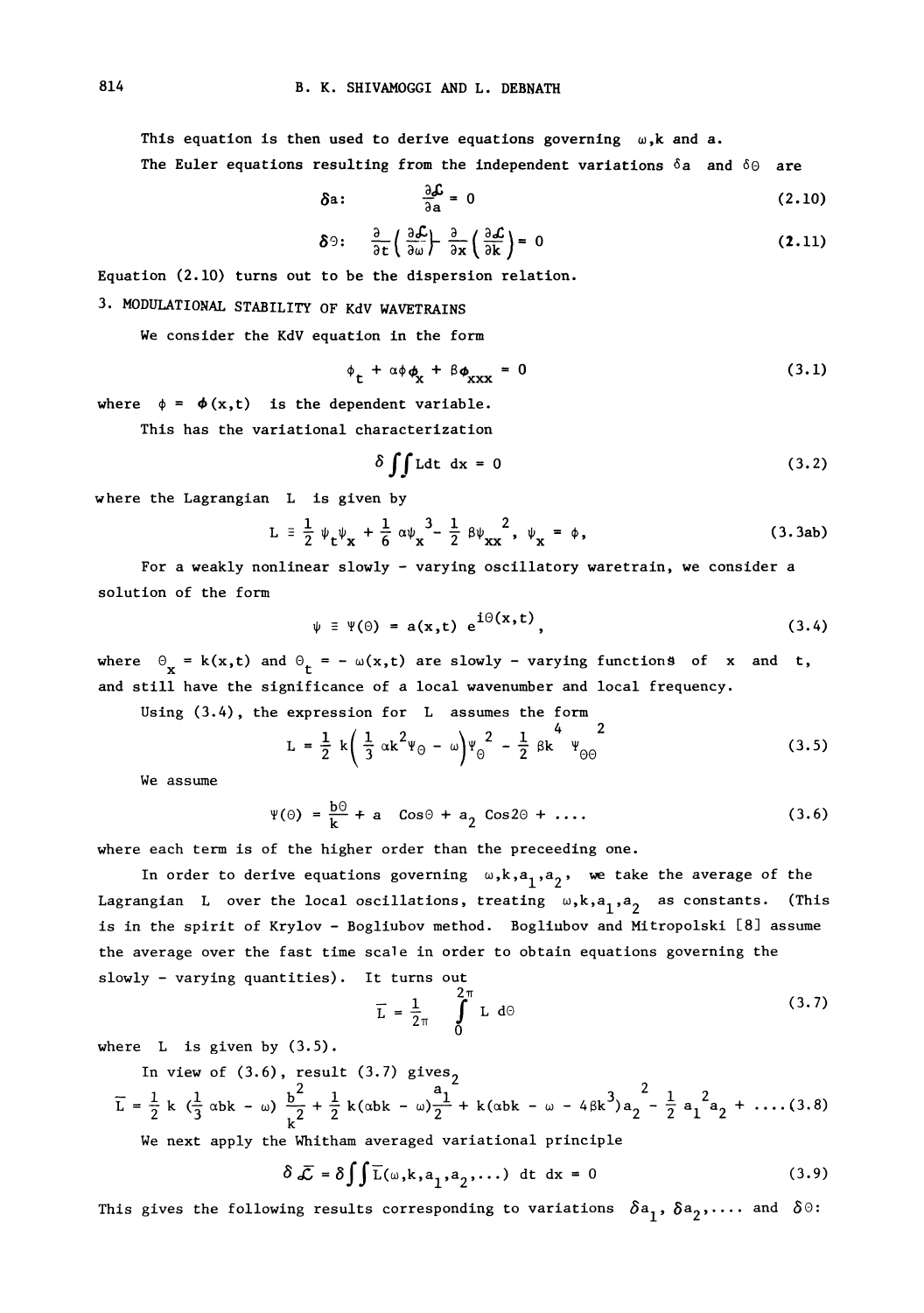This equation is then used to derive equations governing  $\omega, k$  and a. The Euler equations resulting from the independent variations  $\delta a$  and  $\delta \Theta$  are

$$
\delta a: \qquad \frac{\partial \mathcal{L}}{\partial a} = 0 \qquad (2.10)
$$

$$
\delta \Theta: \quad \frac{\partial}{\partial t} \left( \frac{\partial \mathcal{L}}{\partial \omega} \right) - \frac{\partial}{\partial x} \left( \frac{\partial \mathcal{L}}{\partial k} \right) = 0 \tag{2.11}
$$

Equation (2.10) turns out to be the dispersion relation.

## 3. MODULATIONAL STABILITY OF KdV WAVETRAINS

We consider the KdV equation in the form

$$
\phi_{\mathbf{t}} + \alpha \phi_{\mathbf{x}} + \beta \phi_{\mathbf{x} \mathbf{x} \mathbf{x}} = 0 \tag{3.1}
$$

where  $\phi = \phi(x,t)$  is the dependent variable.

This has the variational characterization

$$
\delta \iint \text{Ldt} \, dx = 0 \tag{3.2}
$$

where the Lagrangian L is given by

$$
L = \frac{1}{2} \psi_{t} \psi_{x} + \frac{1}{6} \alpha \psi_{x}^{3} - \frac{1}{2} \beta \psi_{xx}^{2}, \psi_{x} = \phi,
$$
 (3.3ab)  
For a weakly nonlinear slowly - varying oscillatory uncertain, we consider a

solution of the form

$$
\psi = \Psi(\Theta) = a(x,t) e^{i\Theta(x,t)}, \qquad (3.4)
$$

where  $\Theta_{\bf x} = {\bf k}({\bf x}, {\bf t})$  and  $\Theta_{\bf t} = -\omega({\bf x}, {\bf t})$  are slowly - varying functions of  ${\bf x}$  and  ${\bf t}$ . and still have the significance of a local wavenumber and local frequency.

Using (3.4), the expression for L assumes the form

$$
L = \frac{1}{2} k \left( \frac{1}{3} \alpha k^2 \Psi_0 - \omega \right) \Psi_0^2 - \frac{1}{2} \beta k^4 \Psi_{00}^2
$$
 (3.5)

We assume

$$
\Psi(\Theta) = \frac{b\Theta}{k} + a \quad \cos\Theta + a_2 \quad \cos 2\Theta + \dots \tag{3.6}
$$

where each term is of the higher order than the preceeding one.

In order to derive equations governing  $\omega, k, a_1, a_2$ , we take the average of the Lagrangian  $\:$  over the local oscillations, treating  $\:omega,\mathbf{k},\mathbf{a}_1,\mathbf{a}_2$  as constants. (This is in the spirit of Krylov - Bogliubov method. Bogliubov and Mitropolski [8] assume the average over the fast time scale in order to obtain equations governing the slowly - varying quantities). It turns out

$$
\overline{L} = \frac{1}{2\pi} \int_{0}^{2\pi} L \ d\theta \qquad (3.7)
$$

where  $L$  is given by  $(3.5)$ .

In view of (3.6), result (3.7) gives  
\n
$$
\overline{L} = \frac{1}{2} k \left( \frac{1}{3} \alpha b k - \omega \right) \frac{b^2}{k^2} + \frac{1}{2} k (\alpha b k - \omega) \frac{a_1}{2} + k (\alpha b k - \omega - 4 \beta k^3) a_2 - \frac{1}{2} a_1^2 a_2 + \dots (3.8)
$$

We next apply the Whitham averaged variational principle

$$
\delta \bar{\mathcal{L}} = \delta \int \int \bar{L}(\omega, k, a_1, a_2, \dots) dt dx = 0
$$
 (3.9)

This gives the following results corresponding to variations  $\delta a_1^2, \delta a_2^2, \ldots$  and  $\delta \Theta$ :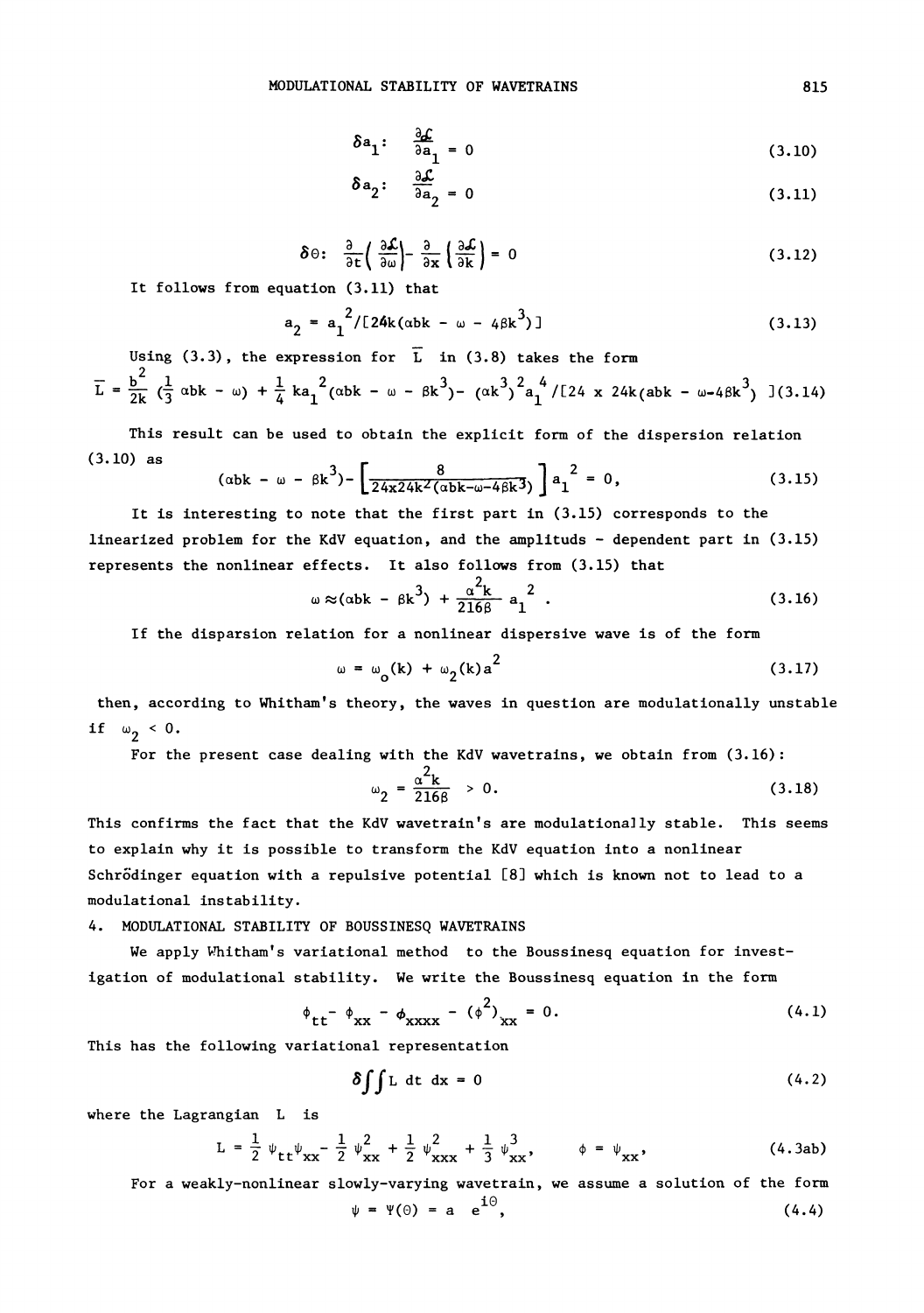$$
\delta \mathbf{a}_1: \quad \frac{\partial \mathcal{L}}{\partial \mathbf{a}_1} = 0 \tag{3.10}
$$

$$
\delta a_2: \quad \frac{\partial \mathcal{L}}{\partial a_2} = 0 \tag{3.11}
$$

$$
\delta \Theta: \quad \frac{\partial}{\partial t} \left( \frac{\partial \mathcal{L}}{\partial \omega} \right) - \frac{\partial}{\partial x} \left( \frac{\partial \mathcal{L}}{\partial k} \right) = 0 \tag{3.12}
$$

It follows from equation (3.11) that

$$
a_2 = a_1^{2}/[24k(\alpha b k - \omega - 4\beta k^3)]
$$
\nUsing (3.3), the expression for  $\overline{L}$  in (3.8) takes the form

\n(3.13)

2

$$
\overline{L} = \frac{b^2}{2k} \left( \frac{1}{3} \, \alpha b k - \omega \right) + \frac{1}{4} k a_1^2 (\alpha b k - \omega - \beta k^3) - (\alpha k^3)^2 a_1^4 / [24 \, x \, 24k (abk - \omega - 4\beta k^3) ] (3.14)
$$

This result can be used to obtain the explicit form of the dispersion relation (3.10) as

$$
(\alpha_{\rm bk} - \omega - \beta_{\rm k}^3) - \left[ \frac{8}{24 \times 24 k^2 (\alpha_{\rm bk} - \omega - 4 \beta_{\rm k}^3)} \right] a_1^2 = 0, \qquad (3.15)
$$

It is interesting to note that the first part in (3.15) corresponds to the linearized problem for the KdV equation, and the amplituds  $-$  dependent part in (3.15) represents the nonlinear effects. It also foliows from (3.15) that

$$
\omega \approx (\alpha b k - \beta k^3) + \frac{\alpha^2 k}{216\beta} a_1^2
$$
 (3.16)

If the disparsion relation for a nonlinear dispersive wave is of the form

$$
\omega = \omega_0(k) + \omega_2(k) a^2 \tag{3.17}
$$

then, according to Whitham's theory, the waves in question are modulationally unstable if  $\omega_2 < 0$ .

For the present case dealing with the KdV wavetrains, we obtain from (3.16):

$$
\omega_2 = \frac{\alpha^2 k}{2166} > 0.
$$
 (3.18)

This confirms the fact that the KdV wavetrain's are modulationally stable. This seems to explain why it is possible to transform the KdV equation into a nonlinear Schrödinger equation with a repulsive potential [8] which is known not to lead to a modulational ins tability.

#### 4. MODULATIONAL STABILITY OF BOUSSINESQ WAVETRAINS

We apply Whitham's variational method to the Boussinesq equation for investigation of modulational stability. We write the Boussinesq equation in the form

$$
\phi_{tt} - \phi_{xx} - \phi_{xxxx} - (\phi^2)_{xx} = 0.
$$
 (4.1)

This has the following variational representation

$$
\delta \int \int L \, dt \, dx = 0 \tag{4.2}
$$

where the Lagrangian L is

$$
L = \frac{1}{2} \psi_{tt} \psi_{xx} - \frac{1}{2} \psi_{xx}^2 + \frac{1}{2} \psi_{xxx}^2 + \frac{1}{3} \psi_{xx}^3, \qquad \phi = \psi_{xx}, \qquad (4.3ab)
$$

For a weakly-nonlinear slowly-varying wavetrain, we assume a solution of the form  $\psi = \Psi(\Theta) = a e^{i\Theta},$  (4.4)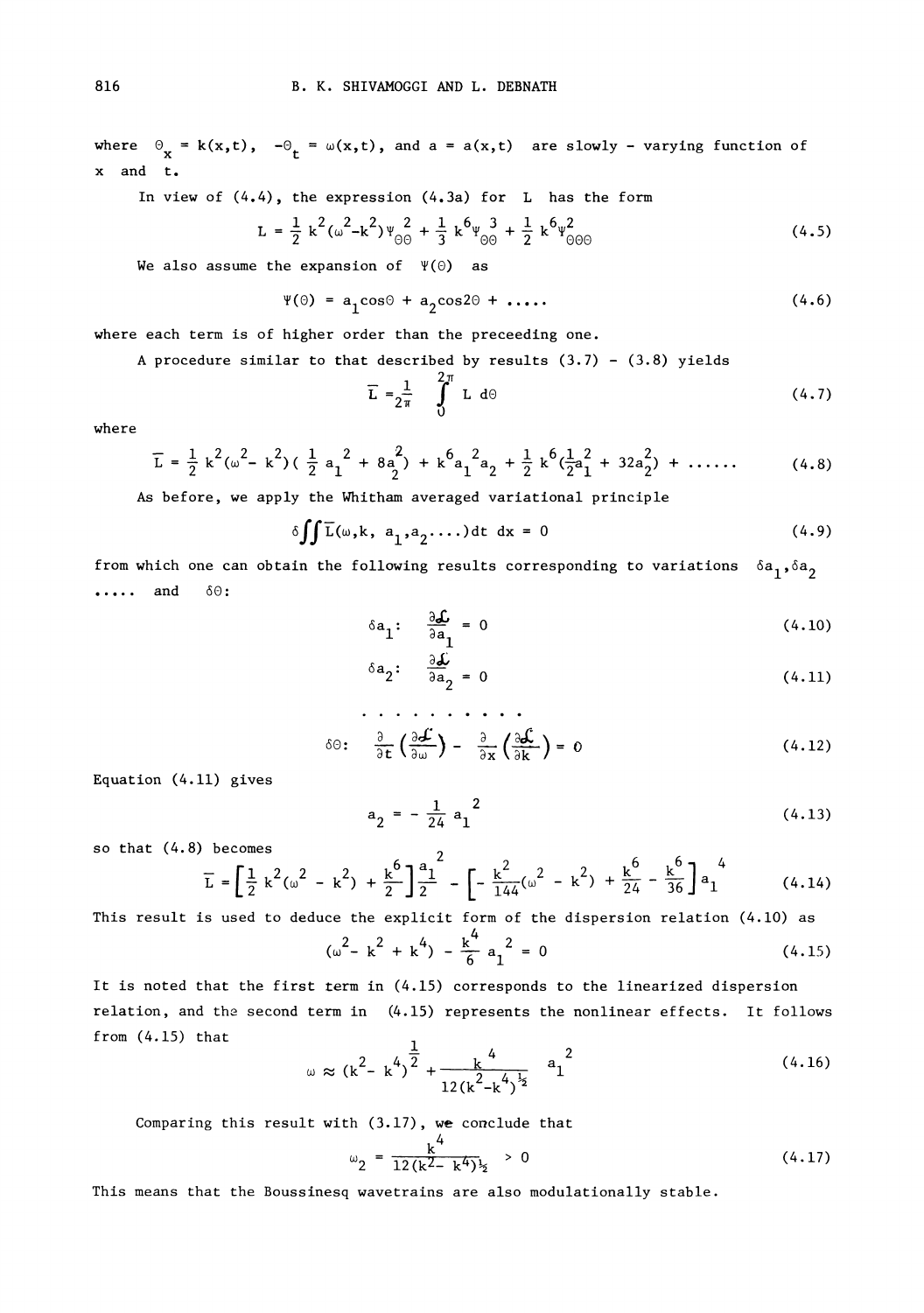where  $\Theta_{\mathbf{x}} = \mathbf{k}(\mathbf{x}, \mathbf{t})$ ,  $-\Theta_{\mathbf{t}} = \omega(\mathbf{x}, \mathbf{t})$ , and  $\mathbf{a} = \mathbf{a}(\mathbf{x}, \mathbf{t})$  are slowly - varying function of x and t.

In view of (4.4), the expression (4.3a) for L has the form

$$
L = \frac{1}{2} k^{2} (\omega^{2} - k^{2}) \psi_{\Theta}^{2} + \frac{1}{3} k^{6} \psi_{\Theta}^{3} + \frac{1}{2} k^{6} \psi_{\Theta\Theta}^{2}
$$
\n(4.5)

\nthe expansion of  $\Psi(\Theta)$  as

\n
$$
\Psi(\Theta) = a \cos \Theta + a \cos 2\Theta + a \cos 2\Theta + a \cos 2\Theta + a \cos 2\Theta + a \cos 2\Theta + a \cos 2\Theta + a \cos 2\Theta + a \cos 2\Theta + a \cos 2\Theta + a \cos 2\Theta + a \cos 2\Theta + a \cos 2\Theta + a \cos 2\Theta + a \cos 2\Theta + a \cos 2\Theta + a \cos 2\Theta + a \cos 2\Theta + a \cos 2\Theta + a \cos 2\Theta + a \cos 2\Theta + a \cos 2\Theta + a \cos 2\Theta + a \cos 2\Theta + a \cos 2\Theta + a \cos 2\Theta + a \cos 2\Theta + a \cos 2\Theta + a \cos 2\Theta + a \cos 2\Theta + a \cos 2\Theta + a \cos 2\Theta + a \cos 2\Theta + a \cos 2\Theta + a \cos 2\Theta + a \cos 2\Theta + a \cos 2\Theta + a \cos 2\Theta + a \cos 2\Theta + a \cos 2\Theta + a \cos 2\Theta + a \cos 2\Theta + a \cos 2\Theta + a \cos 2\Theta + a \cos 2\Theta + a \cos 2\Theta + a \cos 2\Theta + a \cos 2\Theta + a \cos 2\Theta + a \cos 2\Theta + a \cos 2\Theta + a \cos 2\Theta + a \cos 2\Theta + a \cos 2\Theta + a \cos 2\Theta + a \cos 2\Theta + a \cos 2\Theta + a \cos 2\Theta + a \cos 2\Theta + a \cos 2\Theta + a \cos 2\Theta + a \cos 2\Theta + a \cos 2\Theta + a \cos 2\Theta + a \cos 2\Theta + a \cos 2\Theta + a \cos 2\Theta + a \cos 2\Theta + a \cos 2\Theta + a \cos 2\Theta + a \cos 2\Theta + a \cos 2\Theta + a \cos 2\Theta + a \cos 2\Theta + a \cos 2\Theta + a \cos 2\Theta + a \cos 2\Theta + a \cos 2\Theta + a \cos 2\Theta + a \cos 2\Theta + a \cos
$$

We also assume the expansion of  $\Psi(\Theta)$  as

$$
\Psi(\Theta) = a_1 \cos \Theta + a_2 \cos 2\Theta + \ldots \qquad (4.6)
$$

where each term is of higher order than the preceeding one.

A procedure similar to that described by results 
$$
(3.7) - (3.8)
$$
 yields

$$
\overline{\mathbf{L}} = \frac{1}{2\pi} \int_{0}^{2\pi} \mathbf{L} \, \mathrm{d}\Theta \tag{4.7}
$$

where

$$
\overline{L} = \frac{1}{2} k^{2} (\omega^{2} - k^{2}) (\frac{1}{2} a_{1}^{2} + 8 a_{2}^{2}) + k^{6} a_{1}^{2} a_{2} + \frac{1}{2} k^{6} (\frac{1}{2} a_{1}^{2} + 32 a_{2}^{2}) + \dots
$$
 (4.8)

As before, we apply the Whitham averaged variational principle

$$
\delta \iint \overline{L}(\omega, k, a_1, a_2, \dots) dt \ dx = 0 \tag{4.9}
$$

from which one can obtain the following results corresponding to variations  $\delta a_1, \delta a_2$  $\cdots$  and  $\delta\Theta$ :

$$
\delta \mathbf{a}_1: \quad \frac{\partial \mathcal{L}}{\partial \mathbf{a}_1} = 0 \tag{4.10}
$$

$$
\delta a_2: \quad \frac{\partial \mathcal{L}}{\partial a_2} = 0 \tag{4.11}
$$

$$
\delta \Theta: \frac{\partial}{\partial t} \left( \frac{\partial \mathcal{L}}{\partial \omega} \right) - \frac{\partial}{\partial x} \left( \frac{\partial \mathcal{L}}{\partial k} \right) = 0 \tag{4.12}
$$
\n
$$
a_0 = -\frac{1}{24} a_1^2 \tag{4.13}
$$

Equation  $(4.11)$  gives

$$
a_2 = -\frac{1}{24} a_1^2 \tag{4.13}
$$

so that  $(4.8)$  becomes  $2^2$ 

$$
\overline{L} = \left[\frac{1}{2} k^2 (\omega^2 - k^2) + \frac{k^6}{2} \right] \frac{a_1^2}{2} - \left[-\frac{k^2}{144} (\omega^2 - k^2) + \frac{k^6}{24} - \frac{k^6}{36}\right] a_1^4
$$
 (4.14)

This result is used to deduce the explicit form of the dispersion relation (4.10) as 4

$$
k^{2} + \frac{k}{2} \int \frac{1}{2} - \left[ -\frac{k}{144} (\omega^{2} - k^{2}) + \frac{k}{24} - \frac{k}{36} \right] a_{1}
$$
 (4.14)  
ce the explicit form of the dispersion relation (4.10) as  

$$
(\omega^{2} - k^{2} + k^{4}) - \frac{k^{4}}{6} a_{1}^{2} = 0
$$
 (4.15)

 $(\omega - k^2 + k^2) - \frac{2\pi}{6} a_1^2 = 0$  (4.15)<br>It is noted that the first term in (4.15) corresponds to the linearized dispersion<br>relation, and the second term in (4.15) represents the nonlinear effects. It follows It is noted that the first term in (4.15) corresponds to the linearized dispersion  $from (4.15) that$ 

$$
\omega \approx (k^2 - k^4)^{\frac{1}{2}} + \frac{k^4}{12(k^2 - k^4)^{\frac{1}{2}}} a_1^{2}
$$
 (4.16)

Comparing this result with  $(3.17)$ , we conclude that

$$
\omega_2 = \frac{k^4}{12(k^2 - k^4)^3} > 0 \tag{4.17}
$$

This means that the Boussinesq wavetrains are also modulationally stable.